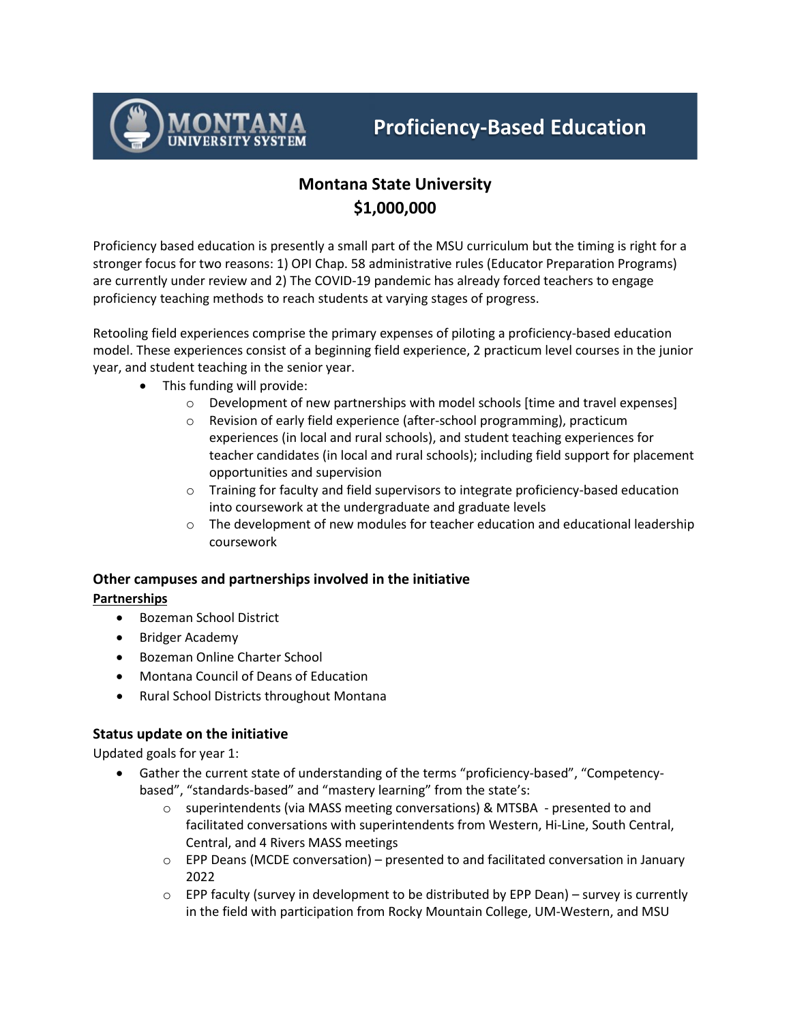

# **Montana State University \$1,000,000**

Proficiency based education is presently a small part of the MSU curriculum but the timing is right for a stronger focus for two reasons: 1) OPI Chap. 58 administrative rules (Educator Preparation Programs) are currently under review and 2) The COVID-19 pandemic has already forced teachers to engage proficiency teaching methods to reach students at varying stages of progress.

Retooling field experiences comprise the primary expenses of piloting a proficiency-based education model. These experiences consist of a beginning field experience, 2 practicum level courses in the junior year, and student teaching in the senior year.

- This funding will provide:
	- o Development of new partnerships with model schools [time and travel expenses]
	- o Revision of early field experience (after-school programming), practicum experiences (in local and rural schools), and student teaching experiences for teacher candidates (in local and rural schools); including field support for placement opportunities and supervision
	- $\circ$  Training for faculty and field supervisors to integrate proficiency-based education into coursework at the undergraduate and graduate levels
	- $\circ$  The development of new modules for teacher education and educational leadership coursework

# **Other campuses and partnerships involved in the initiative Partnerships**

- Bozeman School District
- Bridger Academy
- Bozeman Online Charter School
- Montana Council of Deans of Education
- Rural School Districts throughout Montana

# **Status update on the initiative**

Updated goals for year 1:

- Gather the current state of understanding of the terms "proficiency-based", "Competencybased", "standards-based" and "mastery learning" from the state's:
	- o superintendents (via MASS meeting conversations) & MTSBA presented to and facilitated conversations with superintendents from Western, Hi-Line, South Central, Central, and 4 Rivers MASS meetings
	- $\circ$  EPP Deans (MCDE conversation) presented to and facilitated conversation in January 2022
	- $\circ$  EPP faculty (survey in development to be distributed by EPP Dean) survey is currently in the field with participation from Rocky Mountain College, UM-Western, and MSU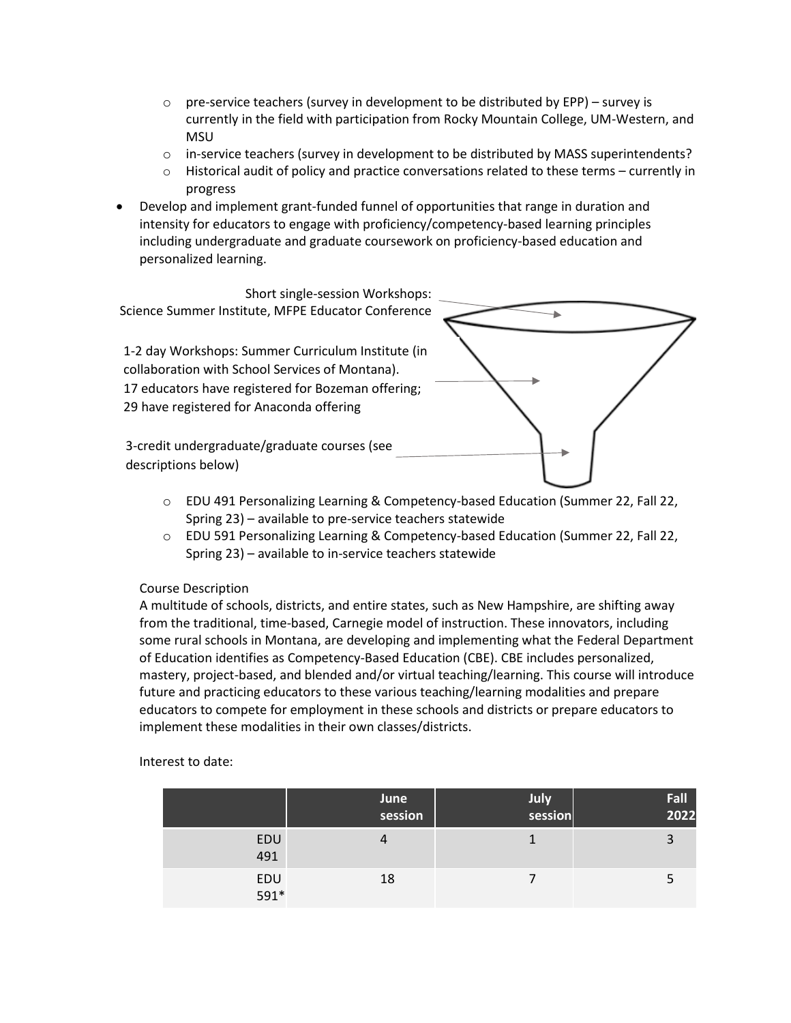- $\circ$  pre-service teachers (survey in development to be distributed by EPP) survey is currently in the field with participation from Rocky Mountain College, UM-Western, and MSU
- $\circ$  in-service teachers (survey in development to be distributed by MASS superintendents?<br>  $\circ$  Historical audit of policy and practice conversations related to these terms currently in
- Historical audit of policy and practice conversations related to these terms currently in progress
- Develop and implement grant-funded funnel of opportunities that range in duration and intensity for educators to engage with proficiency/competency-based learning principles including undergraduate and graduate coursework on proficiency-based education and personalized learning.



- o EDU 491 Personalizing Learning & Competency-based Education (Summer 22, Fall 22, Spring 23) – available to pre-service teachers statewide
- o EDU 591 Personalizing Learning & Competency-based Education (Summer 22, Fall 22, Spring 23) – available to in-service teachers statewide

#### Course Description

A multitude of schools, districts, and entire states, such as New Hampshire, are shifting away from the traditional, time-based, Carnegie model of instruction. These innovators, including some rural schools in Montana, are developing and implementing what the Federal Department of Education identifies as Competency-Based Education (CBE). CBE includes personalized, mastery, project-based, and blended and/or virtual teaching/learning. This course will introduce future and practicing educators to these various teaching/learning modalities and prepare educators to compete for employment in these schools and districts or prepare educators to implement these modalities in their own classes/districts.

|             | June<br>session | July<br>session | Fall<br>2022 |
|-------------|-----------------|-----------------|--------------|
| EDU<br>491  |                 |                 |              |
| EDU<br>591* | 18              |                 |              |

Interest to date: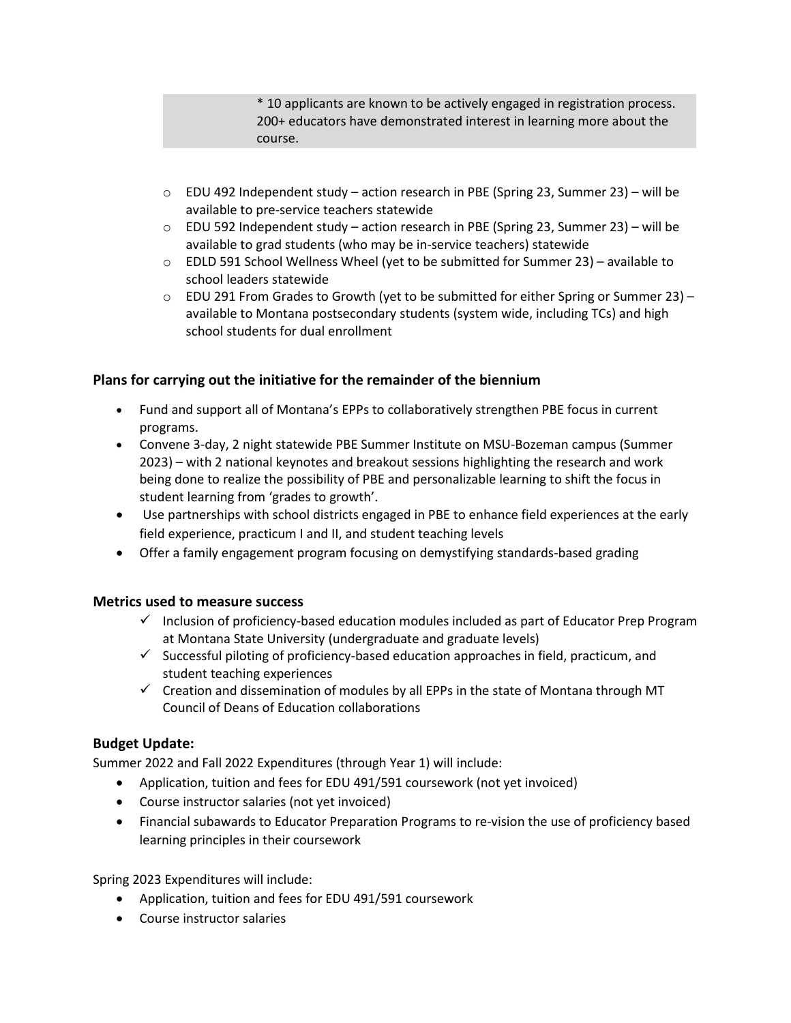\* 10 applicants are known to be actively engaged in registration process. 200+ educators have demonstrated interest in learning more about the course.

- $\circ$  EDU 492 Independent study action research in PBE (Spring 23, Summer 23) will be available to pre-service teachers statewide
- o EDU 592 Independent study action research in PBE (Spring 23, Summer 23) will be available to grad students (who may be in-service teachers) statewide
- $\circ$  EDLD 591 School Wellness Wheel (yet to be submitted for Summer 23) available to school leaders statewide
- $\circ$  EDU 291 From Grades to Growth (yet to be submitted for either Spring or Summer 23) available to Montana postsecondary students (system wide, including TCs) and high school students for dual enrollment

## **Plans for carrying out the initiative for the remainder of the biennium**

- Fund and support all of Montana's EPPs to collaboratively strengthen PBE focus in current programs.
- Convene 3-day, 2 night statewide PBE Summer Institute on MSU-Bozeman campus (Summer 2023) – with 2 national keynotes and breakout sessions highlighting the research and work being done to realize the possibility of PBE and personalizable learning to shift the focus in student learning from 'grades to growth'.
- Use partnerships with school districts engaged in PBE to enhance field experiences at the early field experience, practicum I and II, and student teaching levels
- Offer a family engagement program focusing on demystifying standards-based grading

## **Metrics used to measure success**

- $\checkmark$  Inclusion of proficiency-based education modules included as part of Educator Prep Program at Montana State University (undergraduate and graduate levels)
- $\checkmark$  Successful piloting of proficiency-based education approaches in field, practicum, and student teaching experiences
- $\checkmark$  Creation and dissemination of modules by all EPPs in the state of Montana through MT Council of Deans of Education collaborations

## **Budget Update:**

Summer 2022 and Fall 2022 Expenditures (through Year 1) will include:

- Application, tuition and fees for EDU 491/591 coursework (not yet invoiced)
- Course instructor salaries (not yet invoiced)
- Financial subawards to Educator Preparation Programs to re-vision the use of proficiency based learning principles in their coursework

Spring 2023 Expenditures will include:

- Application, tuition and fees for EDU 491/591 coursework
- Course instructor salaries